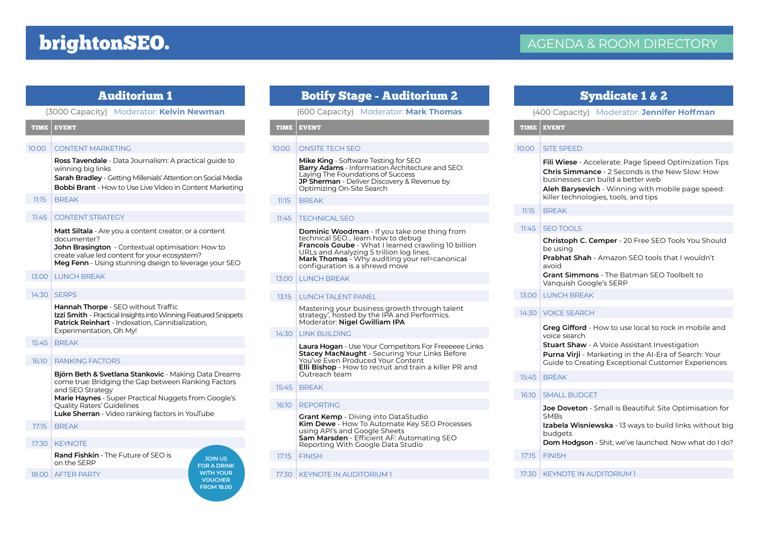# brightonSEO.

# Auditorium 1

#### (3000 Capacity) Moderator: **Kelvin Newman**

#### TIME EVENT

#### 10:00 CONTENT MARKETING

**Ross Tavendale** - Data Journalism: A practical guide to winning big links

**Sarah Bradley** - Getting Millenials' Attention on Social Media **Bobbi Brant** - How to Use Live Video in Content Marketing

#### 11:15 BREAK

#### 11:45 CONTENT STRATEGY

**Matt Siltala** - Are you a content creator, or a content documenter? **John Brasington** - Contextual optimisation: How to

create value led content for your ecosystem? **Meg Fenn** - Using stunning dseign to leverage your SEO

#### 13:00 LUNCH BREAK

#### 14:30 SERPS

**Hannah Thorpe** - SEO without Traffic **Izzi Smith** - Practical Insights into Winning Featured Snippets **Patrick Reinhart** - Indexation, Cannibalization, Experimentation, Oh My!

#### 15:45 BREAK

#### 16:10 RANKING FACTORS

**Björn Beth & Svetlana Stankovic** - Making Data Dreams come true: Bridging the Gap between Ranking Factors and SEO Strategy **Marie Haynes** - Super Practical Nuggets from Google's Quality Raters' Guidelines

**Luke Sherran** - Video ranking factors in YouTube

#### 17:15 BREAK

17:30 KEYNOTE

**Rand Fishkin** - The Future of SEO is on the SERP

#### 18:00 AFTER PARTY

- **Francois Goube** What I learned crawling 10 billion URLs and Analyzing 5 trillion log lines. **Mark Thomas** - Why auditing your relecanonical configuration is a shrewd move
	- 13:00 LUNCH BREAK

11:45 TECHNICAL SEO

TIME EVENT

11:15 BREAK

10:00 ONSITE TECH SEO

**Mike King** - Software Testing for SEO

Laying The Foundations of Success

technical SEO... learn how to debug

Optimizing On-Site Search

**Barry Adams** - Information Architecture and SEO:

Botify Stage - Auditorium 2 (600 Capacity) Moderator: **Mark Thomas**

**Dominic Woodman** - If you take one thing from

**JP Sherman** - Deliver Discovery & Revenue by

#### 13:15 LUNCH TALENT PANEL

Mastering your business growth through talent strategy', hosted by the IPA and Performics. Moderator: **Nigel Gwilliam IPA**

#### $14:30$  LINK BUILDING

**Laura Hogan** - Use Your Competitors For Freeeeee Links **Stacey MacNaught** - Securing Your Links Before You've Even Produced Your Content **Elli Bishop** - How to recruit and train a killer PR and Outreach team

#### 15:45 BREAK

#### 16:10 REPORTING

**Grant Kemp** - Diving into DataStudio **Kim Dewe** - How To Automate Key SEO Processes using API's and Google Sheets **Sam Marsden** - Efficient AF: Automating SEO Reporting With Google Data Studio

#### 17:15 FINISH

**JOIN US FOR A DRINK WITH YOUR VOUCHER FROM 18.00**

17:30 | KEYNOTE IN AUDITORIUM 1

# Syndicate 1 & 2

#### (400 Capacity) Moderator: **Jennifer Hoffman**

TIME EVENT

#### 10:00 SITE SPEED

**Fili Wiese** - Accelerate: Page Speed Optimization Tips **Chris Simmance** - 2 Seconds is the New Slow: How businesses can build a better web

**Aleh Barysevich** - Winning with mobile page speed: killer technologies, tools, and tips

#### 11:15 BREAK

#### 11:45 SEO TOOLS

**Christoph C. Cemper** - 20 Free SEO Tools You Should be using **Prabhat Shah** - Amazon SEO tools that I wouldn't avoid

**Grant Simmons** - The Batman SEO Toolbelt to Vanquish Google's SERP

13:00 LUNCH BREAK

#### 14:30 VOICE SEARCH

**Greg Gifford** - How to use local to rock in mobile and voice search

**Stuart Shaw** - A Voice Assistant Investigation **Purna Virji** - Marketing in the AI-Era of Search: Your Guide to Creating Exceptional Customer Experiences

#### 15:45 BREAK

#### 16:10 SMALL BUDGET

**Joe Doveton** - Small is Beautiful: Site Optimisation for **SMBs** 

**Izabela Wisniewska** - 13 ways to build links without big budgets

**Dom Hodgson** - Shit, we've launched. Now what do I do?

17:15 FINISH

#### 17:30 KEYNOTE IN AUDITORIUM 1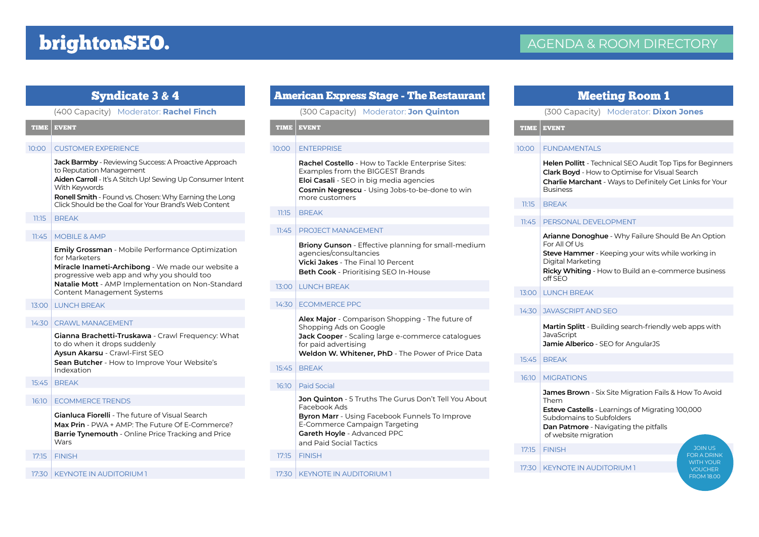# brightonSEO.

## Syndicate 3 & 4

#### (400 Capacity) Moderator: **Rachel Finch**

#### TIME EVENT

#### 10:00 CUSTOMER EXPERIENCE

**Jack Barmby** - Reviewing Success: A Proactive Approach to Reputation Management **Aiden Carroll** - It's A Stitch Up! Sewing Up Consumer Intent

With Keywords **Ronell Smith** - Found vs. Chosen: Why Earning the Long

Click Should be the Goal for Your Brand's Web Content

#### 11:15 BREAK

#### 11:45 MOBILE & AMP

**Emily Grossman** - Mobile Performance Optimization for Marketers

**Miracle Inameti-Archibong** - We made our website a progressive web app and why you should too **Natalie Mott** - AMP Implementation on Non-Standard

Content Management Systems

### 13:00 LUNCH BREAK

#### 14:30 CRAWL MANAGEMENT

**Gianna Brachetti-Truskawa** - Crawl Frequency: What to do when it drops suddenly **Aysun Akarsu** - Crawl-First SEO **Sean Butcher** - How to Improve Your Website's

Indexation

15:45 BREAK

#### 16:10 ECOMMERCE TRENDS

**Gianluca Fiorelli** - The future of Visual Search **Max Prin** - PWA + AMP: The Future Of E-Commerce? **Barrie Tynemouth** - Online Price Tracking and Price Wars

17:15 FINISH

17:30 KEYNOTE IN AUDITORIUM 1

# American Express Stage - The Restaurant

(300 Capacity) Moderator: **Jon Quinton**

#### TIME EVENT

#### 10:00 ENTERPRISE

**Rachel Costello** - How to Tackle Enterprise Sites: Examples from the BIGGEST Brands **Eloi Casali** - SEO in big media agencies **Cosmin Negrescu** - Using Jobs-to-be-done to win more customers

#### $11:15$  BRFAK

#### 11:45 PROJECT MANAGEMENT

**Briony Gunson** - Effective planning for small-medium agencies/consultancies **Vicki Jakes** - The Final 10 Percent **Beth Cook** - Prioritising SEO In-House

#### 13:00 LUNCH BREAK

#### 14:30 ECOMMERCE PPC

**Alex Major** - Comparison Shopping - The future of Shopping Ads on Google

**Jack Cooper** - Scaling large e-commerce catalogues for paid advertising

**Weldon W. Whitener, PhD** - The Power of Price Data

#### 15:45 BREAK

#### 16:10 Paid Social

**Jon Quinton** - 5 Truths The Gurus Don't Tell You About Facebook Ads **Byron Marr** - Using Facebook Funnels To Improve E-Commerce Campaign Targeting **Gareth Hoyle** - Advanced PPC and Paid Social Tactics

#### 17:15 FINISH

#### 17:30 KEYNOTE IN AUDITORIUM 1

### Meeting Room 1

#### (300 Capacity) Moderator: **Dixon Jones**

TIME EVENT

#### 10:00 FUNDAMENTALS

**Helen Pollitt** - Technical SEO Audit Top Tips for Beginners **Clark Boyd** - How to Optimise for Visual Search **Charlie Marchant** - Ways to Definitely Get Links for Your Business

#### 11:15 BREAK

#### 11:45 PERSONAL DEVELOPMENT

**Arianne Donoghue** - Why Failure Should Be An Option For All Of Us

**Steve Hammer** - Keeping your wits while working in Digital Marketing

**Ricky Whiting** - How to Build an e-commerce business off SEO

13:00 LUNCH BREAK

#### 14:30 JAVASCRIPT AND SEO

**Martin Splitt** - Building search-friendly web apps with JavaScript

**Jamie Alberico** - SEO for AngularJS

15:45 BREAK

#### 16:10 MIGRATIONS

**James Brown** - Six Site Migration Fails & How To Avoid Them

**Esteve Castells** - Learnings of Migrating 100,000 Subdomains to Subfolders

**Dan Patmore** - Navigating the pitfalls of website migration

17:15 FINISH

#### 17:30 KEYNOTE IN AUDITORIUM 1

JOIN US FOR A DRINK WITH YOUR FROM 18.00